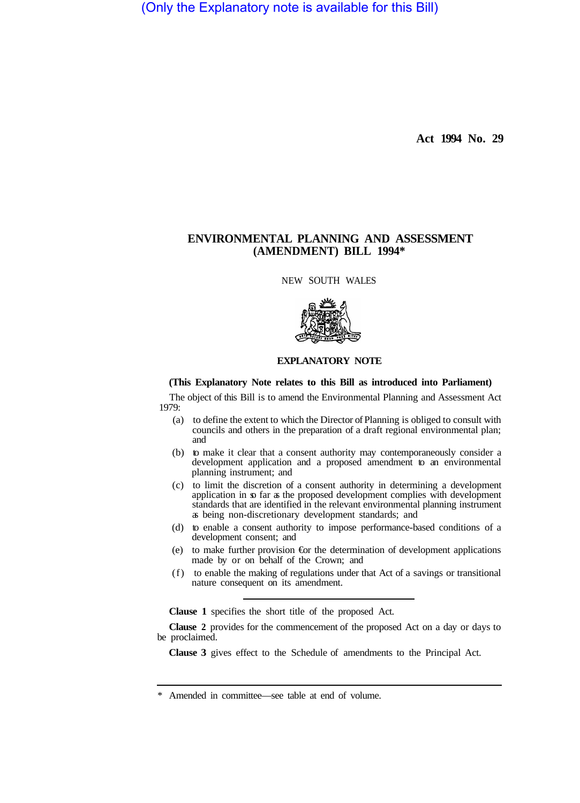(Only the Explanatory note is available for this Bill)

**Act 1994 No. 29** 

# **ENVIRONMENTAL PLANNING AND ASSESSMENT (AMENDMENT) BILL 1994\***

NEW SOUTH WALES



# **EXPLANATORY NOTE**

#### **(This Explanatory Note relates to this Bill as introduced into Parliament)**

The object of this Bill is to amend the Environmental Planning and Assessment Act 1979:

- (a) to define the extent to which the Director of Planning is obliged to consult with councils and others in the preparation of a draft regional environmental plan; and
- (b) to make it clear that a consent authority may contemporaneously consider a development application and a proposed amendment to an environmental planning instrument; and
- (c) to limit the discretion of a consent authority in determining a development application in so far as the proposed development complies with development standards that are identified in the relevant environmental planning instrument as being non-discretionary development standards; and
- (d) to enable a consent authority to impose performance-based conditions of a development consent; and
- (e) to make further provision €or the determination of development applications made by or on behalf of the Crown; and
- (f) to enable the making of regulations under that Act of a savings or transitional nature consequent on its amendment.

**Clause 1** specifies the short title of the proposed Act.

**Clause 2** provides for the commencement of the proposed Act on a day or days to be proclaimed.

**Clause 3** gives effect to the Schedule of amendments to the Principal Act.

\* Amended in committee—see table at end of volume.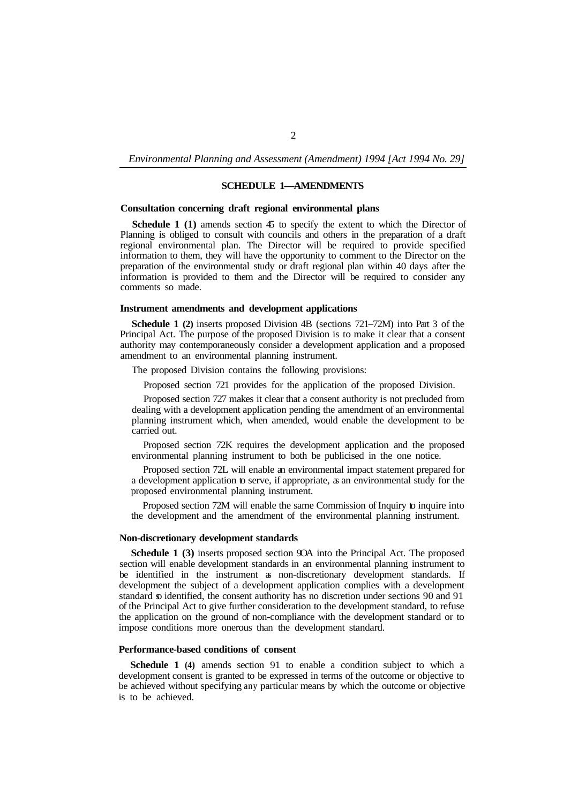*Environmental Planning and Assessment (Amendment) 1994 [Act 1994 No. 29]* 

# **SCHEDULE 1—AMENDMENTS**

#### **Consultation concerning draft regional environmental plans**

**Schedule 1 (1)** amends section 45 to specify the extent to which the Director of Planning is obliged to consult with councils and others in the preparation of a draft regional environmental plan. The Director will be required to provide specified information to them, they will have the opportunity to comment to the Director on the preparation of the environmental study or draft regional plan within 40 days after the information is provided to them and the Director will be required to consider any comments so made.

## **Instrument amendments and development applications**

**Schedule 1 (2)** inserts proposed Division 4B (sections 721–72M) into Part 3 of the Principal Act. The purpose of the proposed Division is to make it clear that a consent authority may contemporaneously consider a development application and a proposed amendment to an environmental planning instrument.

The proposed Division contains the following provisions:

Proposed section 721 provides for the application of the proposed Division.

Proposed section 727 makes it clear that a consent authority is not precluded from dealing with a development application pending the amendment of an environmental planning instrument which, when amended, would enable the development to be carried out.

Proposed section 72K requires the development application and the proposed environmental planning instrument to both be publicised in the one notice.

Proposed section 72L will enable an environmental impact statement prepared for a development application to serve, if appropriate, as an environmental study for the proposed environmental planning instrument.

Proposed section 72M will enable the same Commission of Inquiry to inquire into the development and the amendment of the environmental planning instrument.

#### **Non-discretionary development standards**

**Schedule 1 (3)** inserts proposed section 9OA into the Principal Act. The proposed section will enable development standards in an environmental planning instrument to be identified in the instrument as non-discretionary development standards. If development the subject of a development application complies with a development standard so identified, the consent authority has no discretion under sections 90 and 91 of the Principal Act to give further consideration to the development standard, to refuse the application on the ground of non-compliance with the development standard or to impose conditions more onerous than the development standard.

### **Performance-based conditions of consent**

**Schedule 1 (4)** amends section 91 to enable a condition subject to which a development consent is granted to be expressed in terms of the outcome or objective to be achieved without specifying any particular means by which the outcome or objective is to be achieved.